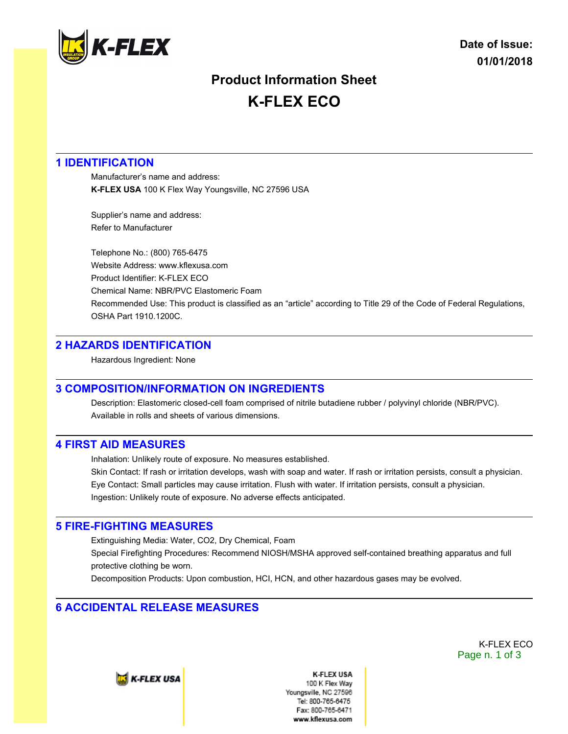

# **Product Information Sheet K-FLEX ECO**

## **1 IDENTIFICATION**

Manufacturer's name and address: **K-FLEX USA** 100 K Flex Way Youngsville, NC 27596 USA

Supplier's name and address: Refer to Manufacturer

Telephone No.: (800) 765-6475 Website Address: www.kflexusa.com Product Identifier: K-FLEX ECO Chemical Name: NBR/PVC Elastomeric Foam Recommended Use: This product is classified as an "article" according to Title 29 of the Code of Federal Regulations, OSHA Part 1910.1200C.

### **2 HAZARDS IDENTIFICATION**

Hazardous Ingredient: None

## **3 COMPOSITION/INFORMATION ON INGREDIENTS**

Description: Elastomeric closed-cell foam comprised of nitrile butadiene rubber / polyvinyl chloride (NBR/PVC). Available in rolls and sheets of various dimensions.

### **4 FIRST AID MEASURES**

Inhalation: Unlikely route of exposure. No measures established.

Skin Contact: If rash or irritation develops, wash with soap and water. If rash or irritation persists, consult a physician. Eye Contact: Small particles may cause irritation. Flush with water. If irritation persists, consult a physician. Ingestion: Unlikely route of exposure. No adverse effects anticipated.

### **5 FIRE-FIGHTING MEASURES**

Extinguishing Media: Water, CO2, Dry Chemical, Foam Special Firefighting Procedures: Recommend NIOSH/MSHA approved self-contained breathing apparatus and full protective clothing be worn.

Decomposition Products: Upon combustion, HCI, HCN, and other hazardous gases may be evolved.

## **6 ACCIDENTAL RELEASE MEASURES**

K-FLEX ECO Page n. 1 of 3

**E** K-FLEX USA

**K-FLEX USA** 100 K Flex Wav Youngsville, NC 27596 Tel: 800-765-6475 Fax: 800-765-6471 www.kflexusa.com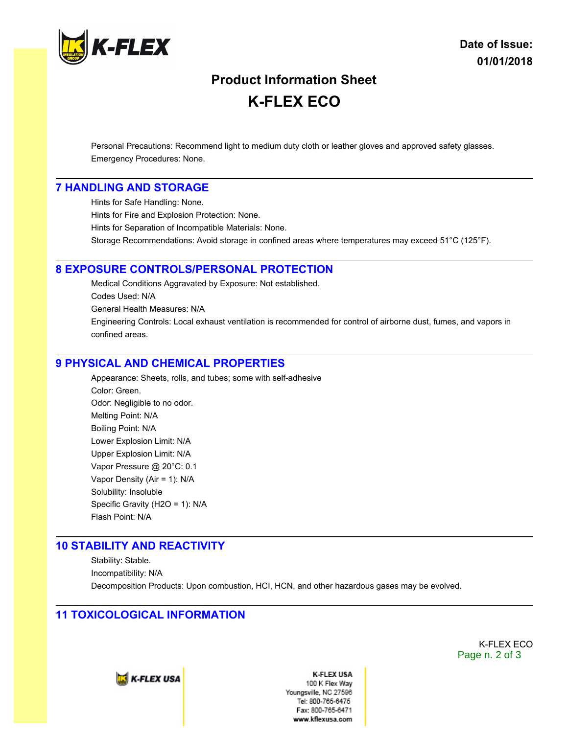

# **Product Information Sheet K-FLEX ECO**

Personal Precautions: Recommend light to medium duty cloth or leather gloves and approved safety glasses. Emergency Procedures: None.

#### **7 HANDLING AND STORAGE**

Hints for Safe Handling: None. Hints for Fire and Explosion Protection: None. Hints for Separation of Incompatible Materials: None. Storage Recommendations: Avoid storage in confined areas where temperatures may exceed 51°C (125°F).

#### **8 EXPOSURE CONTROLS/PERSONAL PROTECTION**

Medical Conditions Aggravated by Exposure: Not established. Codes Used: N/A General Health Measures: N/A Engineering Controls: Local exhaust ventilation is recommended for control of airborne dust, fumes, and vapors in confined areas.

#### **9 PHYSICAL AND CHEMICAL PROPERTIES**

Appearance: Sheets, rolls, and tubes; some with self-adhesive Color: Green. Odor: Negligible to no odor. Melting Point: N/A Boiling Point: N/A Lower Explosion Limit: N/A Upper Explosion Limit: N/A Vapor Pressure @ 20°C: 0.1 Vapor Density (Air = 1): N/A Solubility: Insoluble Specific Gravity (H2O = 1): N/A Flash Point: N/A

#### **10 STABILITY AND REACTIVITY**

Stability: Stable. Incompatibility: N/A Decomposition Products: Upon combustion, HCI, HCN, and other hazardous gases may be evolved.

#### **11 TOXICOLOGICAL INFORMATION**

K-FLEX ECO Page n. 2 of 3



**K-FLEX USA** 100 K Flex Way Youngsville, NC 27596 Tel: 800-765-6475 Fax: 800-765-6471 www.kflexusa.com